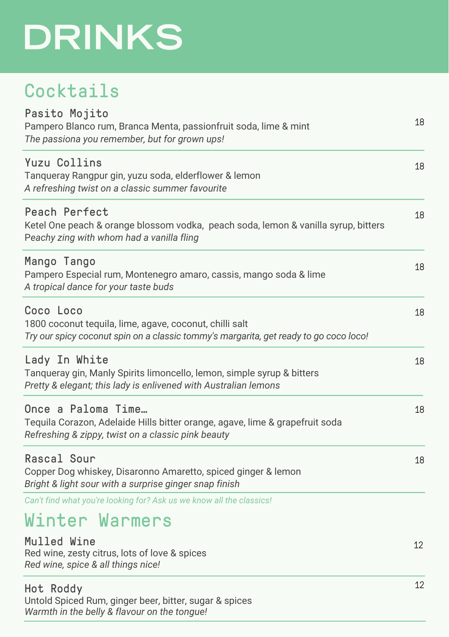# **DRINKS**

#### **Cocktails**

| Pasito Mojito<br>Pampero Blanco rum, Branca Menta, passionfruit soda, lime & mint<br>The passiona you remember, but for grown ups!                            | 18 |
|---------------------------------------------------------------------------------------------------------------------------------------------------------------|----|
| <b>Yuzu Collins</b><br>Tanqueray Rangpur gin, yuzu soda, elderflower & lemon<br>A refreshing twist on a classic summer favourite                              | 18 |
| Peach Perfect<br>Ketel One peach & orange blossom vodka, peach soda, lemon & vanilla syrup, bitters<br>Peachy zing with whom had a vanilla fling              | 18 |
| Mango Tango<br>Pampero Especial rum, Montenegro amaro, cassis, mango soda & lime<br>A tropical dance for your taste buds                                      | 18 |
| Coco Loco<br>1800 coconut tequila, lime, agave, coconut, chilli salt<br>Try our spicy coconut spin on a classic tommy's margarita, get ready to go coco loco! | 18 |
| Lady In White<br>Tanqueray gin, Manly Spirits limoncello, lemon, simple syrup & bitters<br>Pretty & elegant; this lady is enlivened with Australian lemons    | 18 |
| Once a Paloma Time<br>Tequila Corazon, Adelaide Hills bitter orange, agave, lime & grapefruit soda<br>Refreshing & zippy, twist on a classic pink beauty      | 18 |
| Rascal Sour<br>Copper Dog whiskey, Disaronno Amaretto, spiced ginger & lemon<br>Bright & light sour with a surprise ginger snap finish                        | 18 |
| Can't find what you're looking for? Ask us we know all the classics!                                                                                          |    |
| Winter Warmers                                                                                                                                                |    |
| Mulled Wine<br>Red wine, zesty citrus, lots of love & spices<br>Red wine, spice & all things nice!                                                            | 12 |
| Hot Roddy<br>Untold Spiced Rum, ginger beer, bitter, sugar & spices<br>Warmth in the belly & flavour on the tongue!                                           | 12 |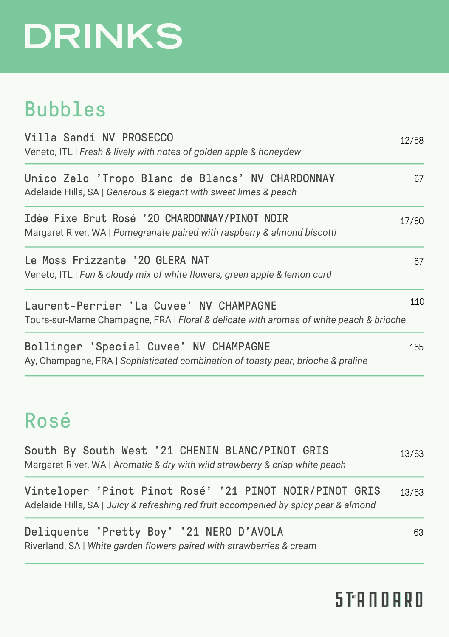# **DRINKS**

### Bubbles

| Villa Sandi NV PROSECCO<br>Veneto, ITL   Fresh & lively with notes of golden apple & honeydew                                      | 12/58 |
|------------------------------------------------------------------------------------------------------------------------------------|-------|
| Unico Zelo 'Tropo Blanc de Blancs' NV CHARDONNAY<br>Adelaide Hills, SA   Generous & elegant with sweet limes & peach               | 67    |
| Idée Fixe Brut Rosé '20 CHARDONNAY/PINOT NOIR<br>Margaret River, WA   Pomegranate paired with raspberry & almond biscotti          | 17/80 |
| Le Moss Frizzante '20 GLERA NAT<br>Veneto, ITL   Fun & cloudy mix of white flowers, green apple & lemon curd                       | 67    |
| Laurent-Perrier 'La Cuvee' NV CHAMPAGNE<br>Tours-sur-Marne Champagne, FRA   Floral & delicate with aromas of white peach & brioche | 110   |
| Bollinger 'Special Cuvee' NV CHAMPAGNE<br>Ay, Champagne, FRA   Sophisticated combination of toasty pear, brioche & praline         | 165   |
| Rosé                                                                                                                               |       |
| South By South West '21 CHENIN BLANC/PINOT GRIS                                                                                    | 13/63 |

| Margaret River, WA   Aromatic & dry with wild strawberry & crisp white peach         |  |  |  |  |  |                                                         |  |       |
|--------------------------------------------------------------------------------------|--|--|--|--|--|---------------------------------------------------------|--|-------|
|                                                                                      |  |  |  |  |  | Vinteloper 'Pinot Pinot Rosé' '21 PINOT NOIR/PINOT GRIS |  | 13/63 |
| Adelaide Hills, SA   Juicy & refreshing red fruit accompanied by spicy pear & almond |  |  |  |  |  |                                                         |  |       |

Deliquente 'Pretty Boy' '21 NERO D'AVOLA Riverland, SA | *White garden flowers paired with strawberries & cream*

**STRNDARD** 

63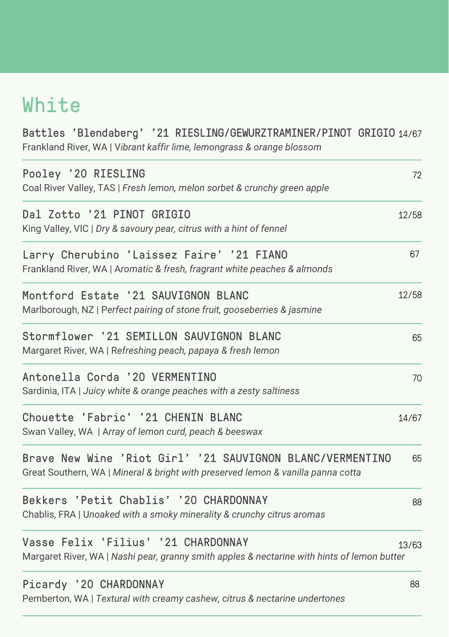## White

Battles 'Blendaberg' '21 RIESLING/GEWURZTRAMINER/PINOT GRIGIO 14/67 Frankland River, WA | V*ibrant kaffir lime, lemongrass & orange blossom* Pooley '20 RIESLING Coal River Valley, TAS | *Fresh lemon, melon sorbet & crunchy green apple* Dal Zotto '21 PINOT GRIGIO King Valley, VIC | *Dry & savoury pear, citrus with a hint of fennel* Larry Cherubino 'Laissez Faire' '21 FIANO Frankland River, WA | A*romatic & fresh, fragrant white peaches & almonds* Montford Estate '21 SAUVIGNON BLANC Marlborough, NZ | P*erfect pairing of stone fruit, gooseberries & jasmine* Stormflower '21 SEMILLON SAUVIGNON BLANC Margaret River, WA | R*efreshing peach, papaya & fresh lemon* Antonella Corda '20 VERMENTINO 72 12/58 67 12/58 65 70

Sardinia, ITA | *Juicy white & orange peaches with a zesty saltiness* Chouette 'Fabric' '21 CHENIN BLANC Swan Valley, WA | A*rray of lemon curd, peach & beeswax*

Brave New Wine 'Riot Girl' '21 SAUVIGNON BLANC/VERMENTINO Great Southern, WA | *Mineral & bright with preserved lemon & vanilla panna cotta* 65

Bekkers 'Petit Chablis' '20 CHARDONNAY Chablis, FRA | U*noaked with a smoky minerality & crunchy citrus aromas*

Vasse Felix 'Filius' '21 CHARDONNAY Margaret River, WA | *Nashi pear, granny smith apples & nectarine with hints of lemon butter* 13/63

Picardy '20 CHARDONNAY Pemberton, WA | *Textural with creamy cashew, citrus & nectarine undertones* 88

88

14/67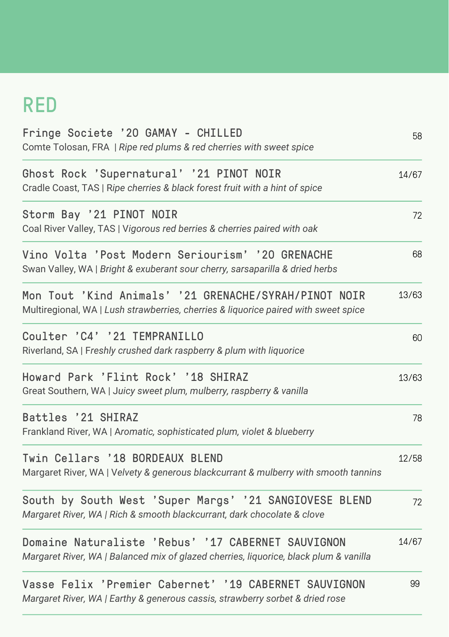# RED

| Fringe Societe '20 GAMAY - CHILLED<br>Comte Tolosan, FRA   Ripe red plums & red cherries with sweet spice                                    | 58    |
|----------------------------------------------------------------------------------------------------------------------------------------------|-------|
| Ghost Rock 'Supernatural' '21 PINOT NOIR<br>Cradle Coast, TAS   Ripe cherries & black forest fruit with a hint of spice                      | 14/67 |
| Storm Bay '21 PINOT NOIR<br>Coal River Valley, TAS   Vigorous red berries & cherries paired with oak                                         | 72    |
| Vino Volta 'Post Modern Seriourism' '20 GRENACHE<br>Swan Valley, WA   Bright & exuberant sour cherry, sarsaparilla & dried herbs             | 68    |
| Mon Tout 'Kind Animals' '21 GRENACHE/SYRAH/PINOT NOIR<br>Multiregional, WA   Lush strawberries, cherries & liquorice paired with sweet spice | 13/63 |
| Coulter 'C4' '21 TEMPRANILLO<br>Riverland, SA   Freshly crushed dark raspberry & plum with liquorice                                         | 60    |
| Howard Park 'Flint Rock' '18 SHIRAZ<br>Great Southern, WA   Juicy sweet plum, mulberry, raspberry & vanilla                                  | 13/63 |
| Battles '21 SHIRAZ<br>Frankland River, WA   Aromatic, sophisticated plum, violet & blueberry                                                 | 78    |
| Twin Cellars '18 BORDEAUX BLEND<br>Margaret River, WA   Velvety & generous blackcurrant & mulberry with smooth tannins                       | 12/58 |
| South by South West 'Super Margs' '21 SANGIOVESE BLEND<br>Margaret River, WA   Rich & smooth blackcurrant, dark chocolate & clove            | 72    |
| Domaine Naturaliste 'Rebus' '17 CABERNET SAUVIGNON<br>Margaret River, WA   Balanced mix of glazed cherries, liquorice, black plum & vanilla  | 14/67 |
| Vasse Felix 'Premier Cabernet' '19 CABERNET SAUVIGNON                                                                                        | 99    |

*Margaret River, WA | Earthy & generous cassis, strawberry sorbet & dried rose*